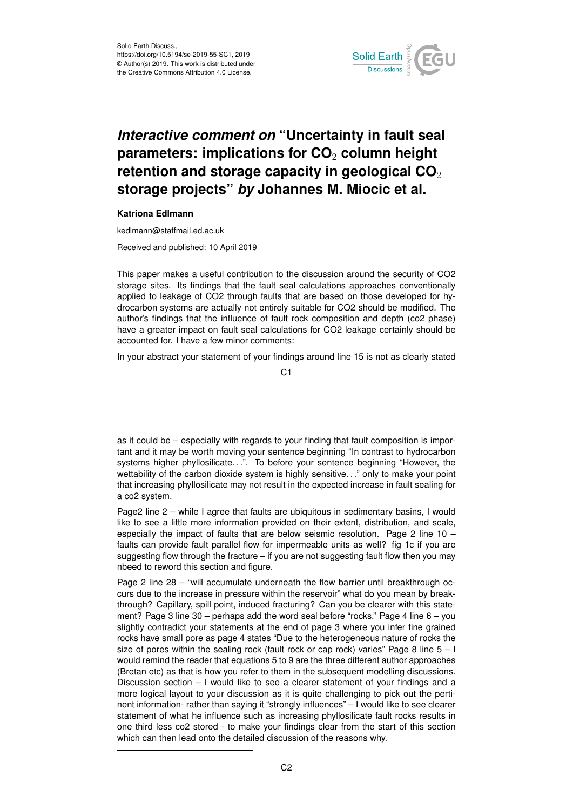

## *Interactive comment on* **"Uncertainty in fault seal parameters: implications for CO**<sup>2</sup> **column height retention and storage capacity in geological CO**<sup>2</sup> **storage projects"** *by* **Johannes M. Miocic et al.**

## **Katriona Edlmann**

kedlmann@staffmail.ed.ac.uk

Received and published: 10 April 2019

This paper makes a useful contribution to the discussion around the security of CO2 storage sites. Its findings that the fault seal calculations approaches conventionally applied to leakage of CO2 through faults that are based on those developed for hydrocarbon systems are actually not entirely suitable for CO2 should be modified. The author's findings that the influence of fault rock composition and depth (co2 phase) have a greater impact on fault seal calculations for CO2 leakage certainly should be accounted for. I have a few minor comments:

In your abstract your statement of your findings around line 15 is not as clearly stated

C1

as it could be – especially with regards to your finding that fault composition is important and it may be worth moving your sentence beginning "In contrast to hydrocarbon systems higher phyllosilicate...". To before your sentence beginning "However, the wettability of the carbon dioxide system is highly sensitive..." only to make your point that increasing phyllosilicate may not result in the expected increase in fault sealing for a co2 system.

Page2 line 2 – while I agree that faults are ubiquitous in sedimentary basins, I would like to see a little more information provided on their extent, distribution, and scale, especially the impact of faults that are below seismic resolution. Page 2 line  $10$ faults can provide fault parallel flow for impermeable units as well? fig 1c if you are suggesting flow through the fracture – if you are not suggesting fault flow then you may nbeed to reword this section and figure.

Page 2 line 28 – "will accumulate underneath the flow barrier until breakthrough occurs due to the increase in pressure within the reservoir" what do you mean by breakthrough? Capillary, spill point, induced fracturing? Can you be clearer with this statement? Page 3 line 30 – perhaps add the word seal before "rocks." Page 4 line 6 – you slightly contradict your statements at the end of page 3 where you infer fine grained rocks have small pore as page 4 states "Due to the heterogeneous nature of rocks the size of pores within the sealing rock (fault rock or cap rock) varies" Page 8 line  $5 - 1$ would remind the reader that equations 5 to 9 are the three different author approaches (Bretan etc) as that is how you refer to them in the subsequent modelling discussions. Discussion section – I would like to see a clearer statement of your findings and a more logical layout to your discussion as it is quite challenging to pick out the pertinent information- rather than saying it "strongly influences" – I would like to see clearer statement of what he influence such as increasing phyllosilicate fault rocks results in one third less co2 stored - to make your findings clear from the start of this section which can then lead onto the detailed discussion of the reasons why.